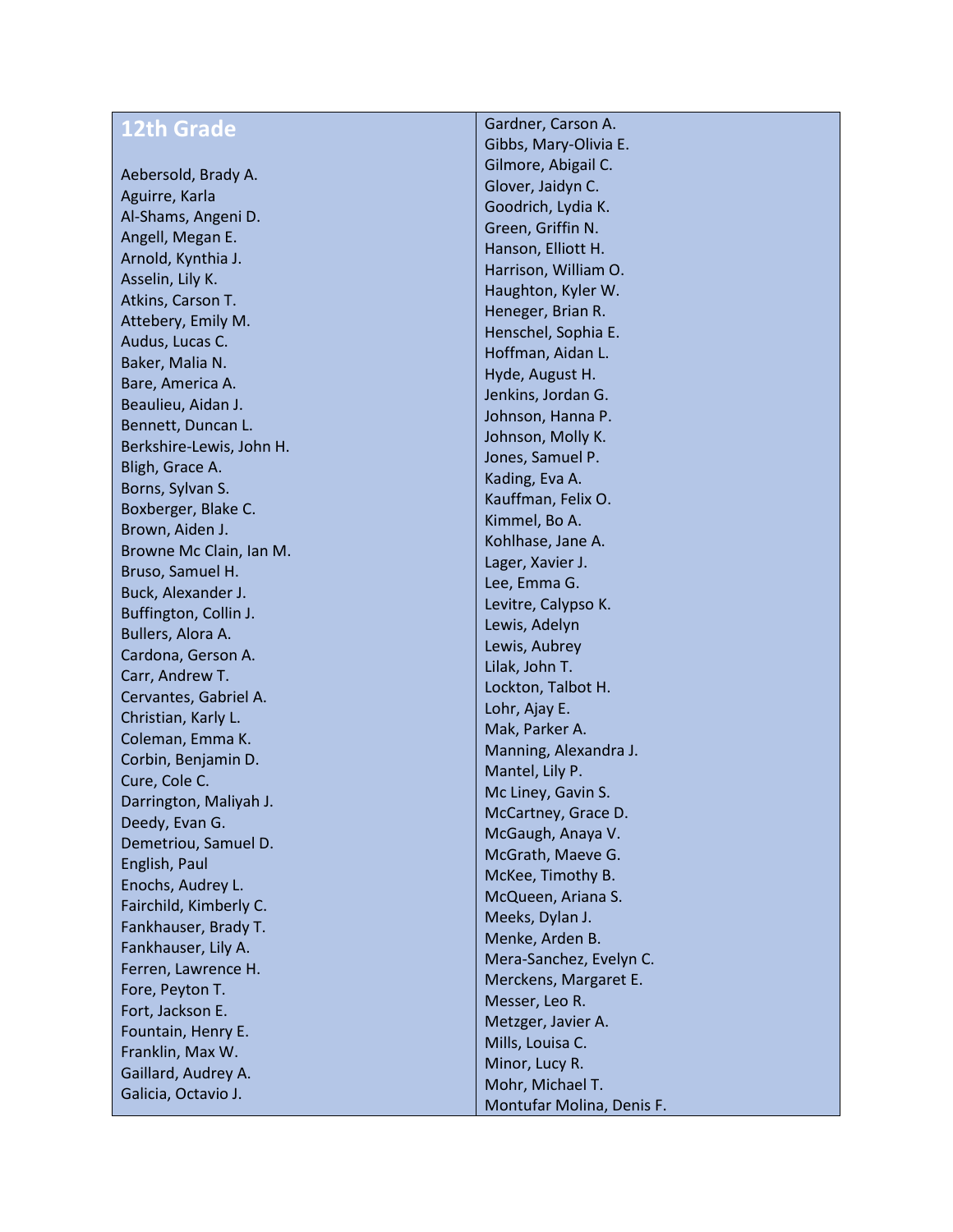| <b>12th Grade</b>                           | Gardner, Carson A.        |
|---------------------------------------------|---------------------------|
|                                             | Gibbs, Mary-Olivia E.     |
| Aebersold, Brady A.                         | Gilmore, Abigail C.       |
| Aguirre, Karla                              | Glover, Jaidyn C.         |
| Al-Shams, Angeni D.                         | Goodrich, Lydia K.        |
| Angell, Megan E.                            | Green, Griffin N.         |
| Arnold, Kynthia J.                          | Hanson, Elliott H.        |
| Asselin, Lily K.                            | Harrison, William O.      |
| Atkins, Carson T.                           | Haughton, Kyler W.        |
| Attebery, Emily M.                          | Heneger, Brian R.         |
| Audus, Lucas C.                             | Henschel, Sophia E.       |
| Baker, Malia N.                             | Hoffman, Aidan L.         |
| Bare, America A.                            | Hyde, August H.           |
|                                             | Jenkins, Jordan G.        |
| Beaulieu, Aidan J.                          | Johnson, Hanna P.         |
| Bennett, Duncan L.                          | Johnson, Molly K.         |
| Berkshire-Lewis, John H.<br>Bligh, Grace A. | Jones, Samuel P.          |
|                                             | Kading, Eva A.            |
| Borns, Sylvan S.                            | Kauffman, Felix O.        |
| Boxberger, Blake C.                         | Kimmel, Bo A.             |
| Brown, Aiden J.                             | Kohlhase, Jane A.         |
| Browne Mc Clain, Ian M.                     | Lager, Xavier J.          |
| Bruso, Samuel H.                            | Lee, Emma G.              |
| Buck, Alexander J.                          | Levitre, Calypso K.       |
| Buffington, Collin J.                       | Lewis, Adelyn             |
| Bullers, Alora A.                           | Lewis, Aubrey             |
| Cardona, Gerson A.                          | Lilak, John T.            |
| Carr, Andrew T.                             | Lockton, Talbot H.        |
| Cervantes, Gabriel A.                       | Lohr, Ajay E.             |
| Christian, Karly L.                         | Mak, Parker A.            |
| Coleman, Emma K.                            | Manning, Alexandra J.     |
| Corbin, Benjamin D.                         | Mantel, Lily P.           |
| Cure, Cole C.                               | Mc Liney, Gavin S.        |
| Darrington, Maliyah J.                      | McCartney, Grace D.       |
| Deedy, Evan G.                              | McGaugh, Anaya V.         |
| Demetriou, Samuel D.                        | McGrath, Maeve G.         |
| English, Paul                               | McKee, Timothy B.         |
| Enochs, Audrey L.                           | McQueen, Ariana S.        |
| Fairchild, Kimberly C.                      | Meeks, Dylan J.           |
| Fankhauser, Brady T.                        | Menke, Arden B.           |
| Fankhauser, Lily A.                         | Mera-Sanchez, Evelyn C.   |
| Ferren, Lawrence H.                         | Merckens, Margaret E.     |
| Fore, Peyton T.                             | Messer, Leo R.            |
| Fort, Jackson E.                            | Metzger, Javier A.        |
| Fountain, Henry E.                          | Mills, Louisa C.          |
| Franklin, Max W.                            | Minor, Lucy R.            |
| Gaillard, Audrey A.                         | Mohr, Michael T.          |
| Galicia, Octavio J.                         | Montufar Molina, Denis F. |
|                                             |                           |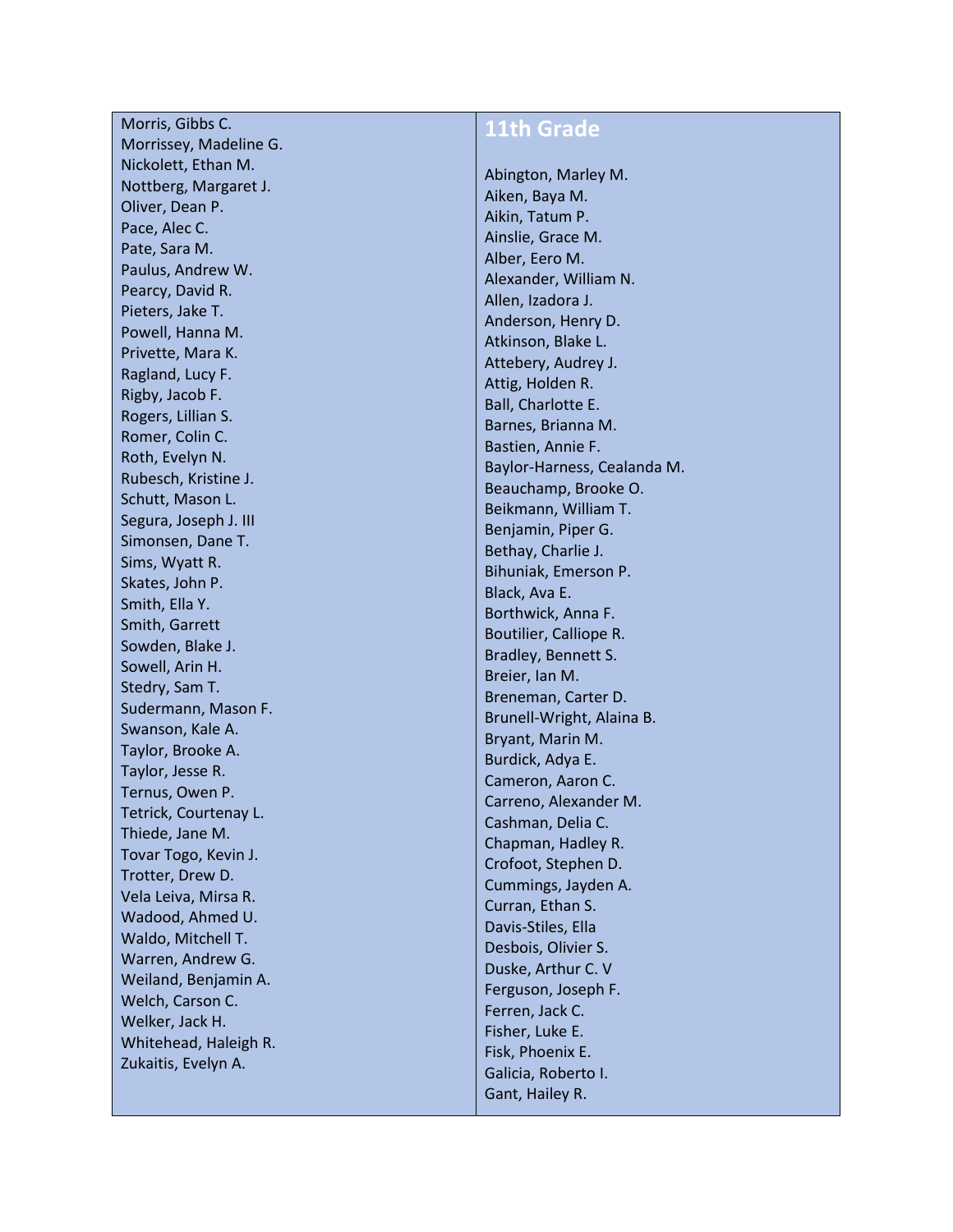Morris, Gibbs C. Morrissey, Madeline G. Nickolett, Ethan M. Nottberg, Margaret J. Oliver, Dean P. Pace, Alec C. Pate, Sara M. Paulus, Andrew W. Pearcy, David R. Pieters, Jake T. Powell, Hanna M. Privette, Mara K. Ragland, Lucy F. Rigby, Jacob F. Rogers, Lillian S. Romer, Colin C. Roth, Evelyn N. Rubesch, Kristine J. Schutt, Mason L. Segura, Joseph J. III Simonsen, Dane T. Sims, Wyatt R. Skates, John P. Smith, Ella Y. Smith, Garrett Sowden, Blake J. Sowell, Arin H. Stedry, Sam T. Sudermann, Mason F. Swanson, Kale A. Taylor, Brooke A . Taylor, Jesse R. Ternus, Owen P. Tetrick, Courtenay L. Thiede, Jane M. Tovar Togo, Kevin J. Trotter, Drew D. Vela Leiva, Mirsa R. Wadood, Ahmed U. Waldo, Mitchell T. Warren, Andrew G. Weiland, Benjamin A. Welch, Carson C. Welker, Jack H. Whitehead, Haleigh R. Zukaitis, Evelyn A.

## **11th Grade**

Abington, Marley M. Aiken, Baya M. Aikin, Tatum P. Ainslie, Grace M. Alber, Eero M. Alexander, William N. Allen, Izadora J. Anderson, Henry D. Atkinson, Blake L. Attebery, Audrey J. Attig, Holden R. Ball, Charlotte E. Barnes, Brianna M. Bastien, Annie F. Baylor -Harness, Cealanda M. Beauchamp, Brooke O. Beikmann, William T. Benjamin, Piper G. Bethay, Charlie J. Bihuniak, Emerson P. Black, Ava E. Borthwick, Anna F. Boutilier, Calliope R. Bradley, Bennett S. Breier, Ian M. Breneman, Carter D. Brunell -Wright, Alaina B. Bryant, Marin M. Burdick, Adya E. Cameron, Aaron C. Carreno, Alexander M. Cashman, Delia C. Chapman, Hadley R. Crofoot, Stephen D. Cummings, Jayden A. Curran, Ethan S. Davis -Stiles, Ella Desbois, Olivier S. Duske, Arthur C. V Ferguson, Joseph F. Ferren, Jack C. Fisher, Luke E. Fisk, Phoenix E. Galicia, Roberto I. Gant, Hailey R.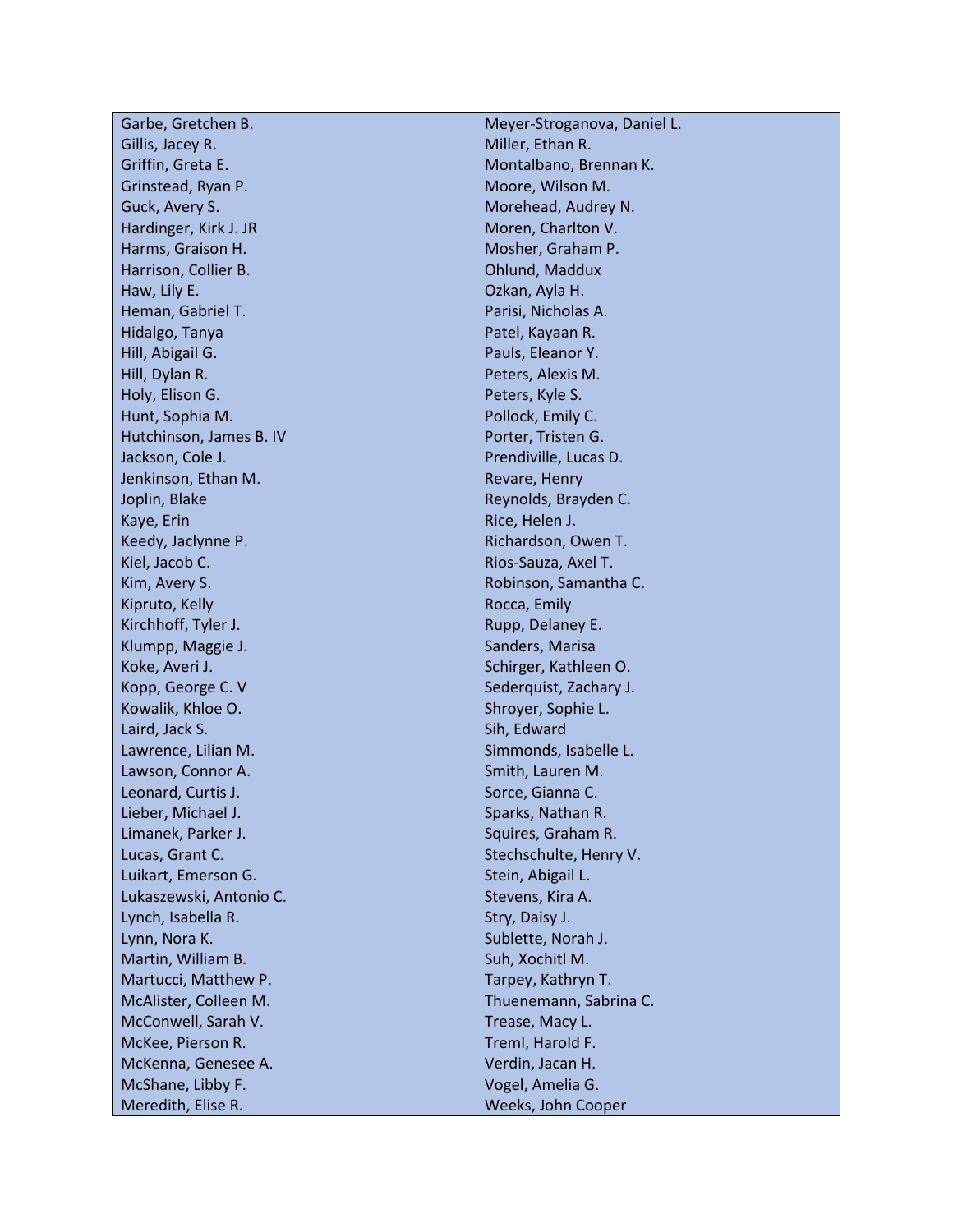| Garbe, Gretchen B.      | Meyer-Stroganova, Daniel L. |
|-------------------------|-----------------------------|
| Gillis, Jacey R.        | Miller, Ethan R.            |
| Griffin, Greta E.       | Montalbano, Brennan K.      |
| Grinstead, Ryan P.      | Moore, Wilson M.            |
| Guck, Avery S.          | Morehead, Audrey N.         |
| Hardinger, Kirk J. JR   | Moren, Charlton V.          |
| Harms, Graison H.       | Mosher, Graham P.           |
| Harrison, Collier B.    | Ohlund, Maddux              |
| Haw, Lily E.            | Ozkan, Ayla H.              |
| Heman, Gabriel T.       | Parisi, Nicholas A.         |
| Hidalgo, Tanya          | Patel, Kayaan R.            |
| Hill, Abigail G.        | Pauls, Eleanor Y.           |
| Hill, Dylan R.          | Peters, Alexis M.           |
| Holy, Elison G.         | Peters, Kyle S.             |
| Hunt, Sophia M.         | Pollock, Emily C.           |
| Hutchinson, James B. IV | Porter, Tristen G.          |
| Jackson, Cole J.        | Prendiville, Lucas D.       |
| Jenkinson, Ethan M.     | Revare, Henry               |
| Joplin, Blake           | Reynolds, Brayden C.        |
| Kaye, Erin              | Rice, Helen J.              |
| Keedy, Jaclynne P.      | Richardson, Owen T.         |
| Kiel, Jacob C.          | Rios-Sauza, Axel T.         |
| Kim, Avery S.           | Robinson, Samantha C.       |
| Kipruto, Kelly          | Rocca, Emily                |
| Kirchhoff, Tyler J.     | Rupp, Delaney E.            |
| Klumpp, Maggie J.       | Sanders, Marisa             |
| Koke, Averi J.          | Schirger, Kathleen O.       |
| Kopp, George C. V       | Sederquist, Zachary J.      |
| Kowalik, Khloe O.       | Shroyer, Sophie L.          |
| Laird, Jack S.          | Sih, Edward                 |
| Lawrence, Lilian M.     | Simmonds, Isabelle L.       |
| Lawson, Connor A.       | Smith, Lauren M.            |
| Leonard, Curtis J.      | Sorce, Gianna C.            |
| Lieber, Michael J.      | Sparks, Nathan R.           |
| Limanek, Parker J.      | Squires, Graham R.          |
| Lucas, Grant C.         | Stechschulte, Henry V.      |
| Luikart, Emerson G.     | Stein, Abigail L.           |
| Lukaszewski, Antonio C. | Stevens, Kira A.            |
| Lynch, Isabella R.      | Stry, Daisy J.              |
| Lynn, Nora K.           | Sublette, Norah J.          |
| Martin, William B.      | Suh, Xochitl M.             |
| Martucci, Matthew P.    | Tarpey, Kathryn T.          |
| McAlister, Colleen M.   | Thuenemann, Sabrina C.      |
| McConwell, Sarah V.     | Trease, Macy L.             |
| McKee, Pierson R.       | Treml, Harold F.            |
| McKenna, Genesee A.     | Verdin, Jacan H.            |
| McShane, Libby F.       | Vogel, Amelia G.            |
| Meredith, Elise R.      | Weeks, John Cooper          |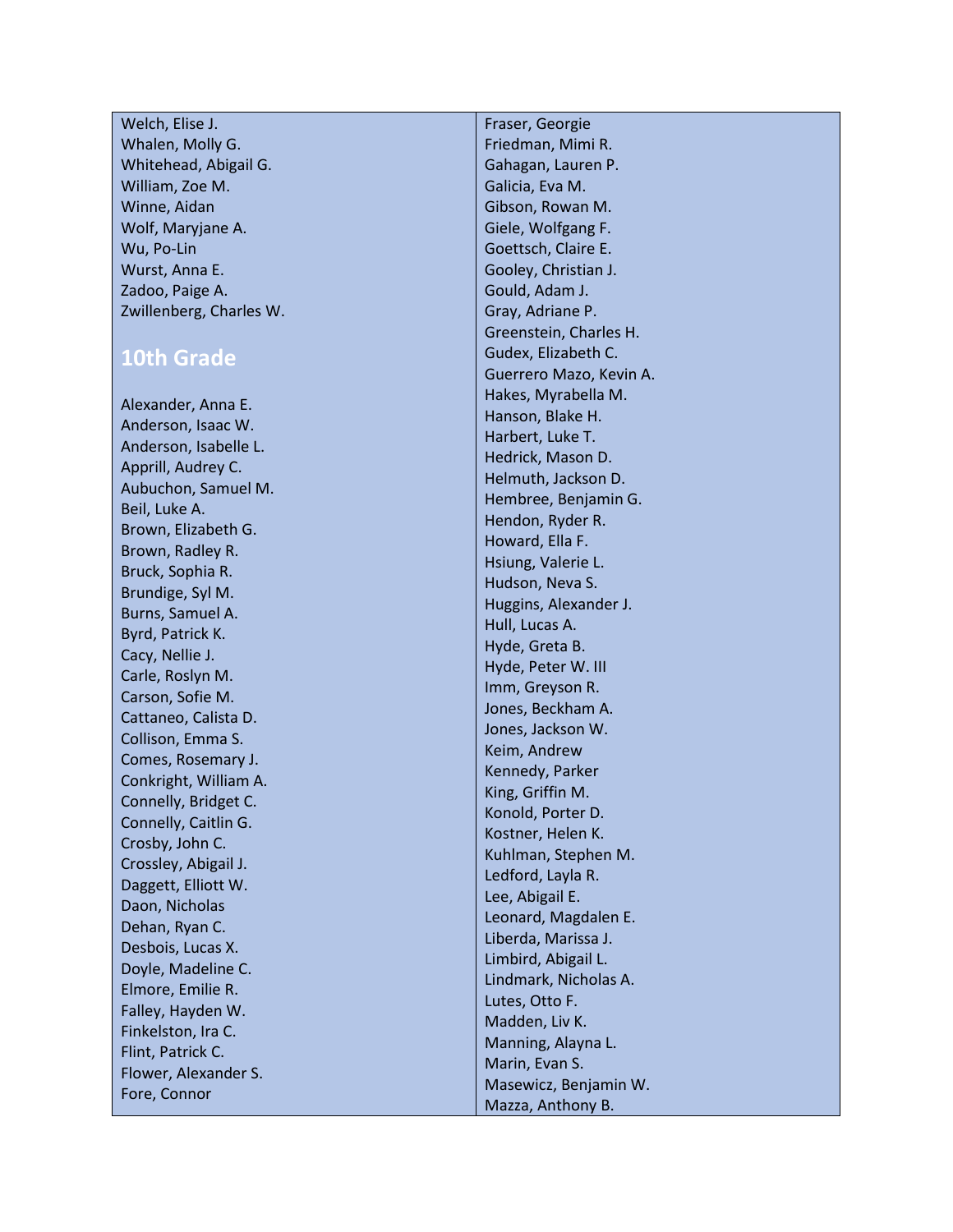## Welch, Elise J. Whalen, Molly G. Whitehead, Abigail G. William, Zoe M. Winne, Aidan Wolf, Maryjane A. Wu, Po -Lin Wurst, Anna E. Zadoo, Paige A. Zwillenberg, Charles W.

## **10th Grade**

Alexander, Anna E. Anderson, Isaac W. Anderson, Isabelle L. Apprill, Audrey C. Aubuchon, Samuel M. Beil, Luke A. Brown, Elizabeth G. Brown, Radley R. Bruck, Sophia R. Brundige, Syl M. Burns, Samuel A. Byrd, Patrick K. Cacy, Nellie J. Carle, Roslyn M. Carson, Sofie M. Cattaneo, Calista D. Collison, Emma S. Comes, Rosemary J. Conkright, William A. Connelly, Bridget C. Connelly, Caitlin G. Crosby, John C. Crossley, Abigail J. Daggett, Elliott W. Daon, Nicholas Dehan, Ryan C. Desbois, Lucas X. Doyle, Madeline C. Elmore, Emilie R. Falley, Hayden W. Finkelston, Ira C. Flint, Patrick C. Flower, Alexander S. Fore, Connor

Fraser, Georgie Friedman, Mimi R. Gahagan, Lauren P. Galicia, Eva M. Gibson, Rowan M. Giele, Wolfgang F. Goettsch, Claire E. Gooley, Christian J. Gould, Adam J. Gray, Adriane P. Greenstein, Charles H. Gudex, Elizabeth C. Guerrero Mazo, Kevin A. Hakes, Myrabella M. Hanson, Blake H. Harbert, Luke T. Hedrick, Mason D. Helmuth, Jackson D. Hembree, Benjamin G. Hendon, Ryder R. Howard, Ella F. Hsiung, Valerie L. Hudson, Neva S. Huggins, Alexander J. Hull, Lucas A. Hyde, Greta B. Hyde, Peter W. III Imm, Greyson R. Jones, Beckham A. Jones, Jackson W. Keim, Andrew Kennedy, Parker King, Griffin M. Konold, Porter D. Kostner, Helen K. Kuhlman, Stephen M. Ledford, Layla R. Lee, Abigail E. Leonard, Magdalen E. Liberda, Marissa J. Limbird, Abigail L. Lindmark, Nicholas A. Lutes, Otto F. Madden, Liv K. Manning, Alayna L. Marin, Evan S. Masewicz, Benjamin W. Mazza, Anthony B.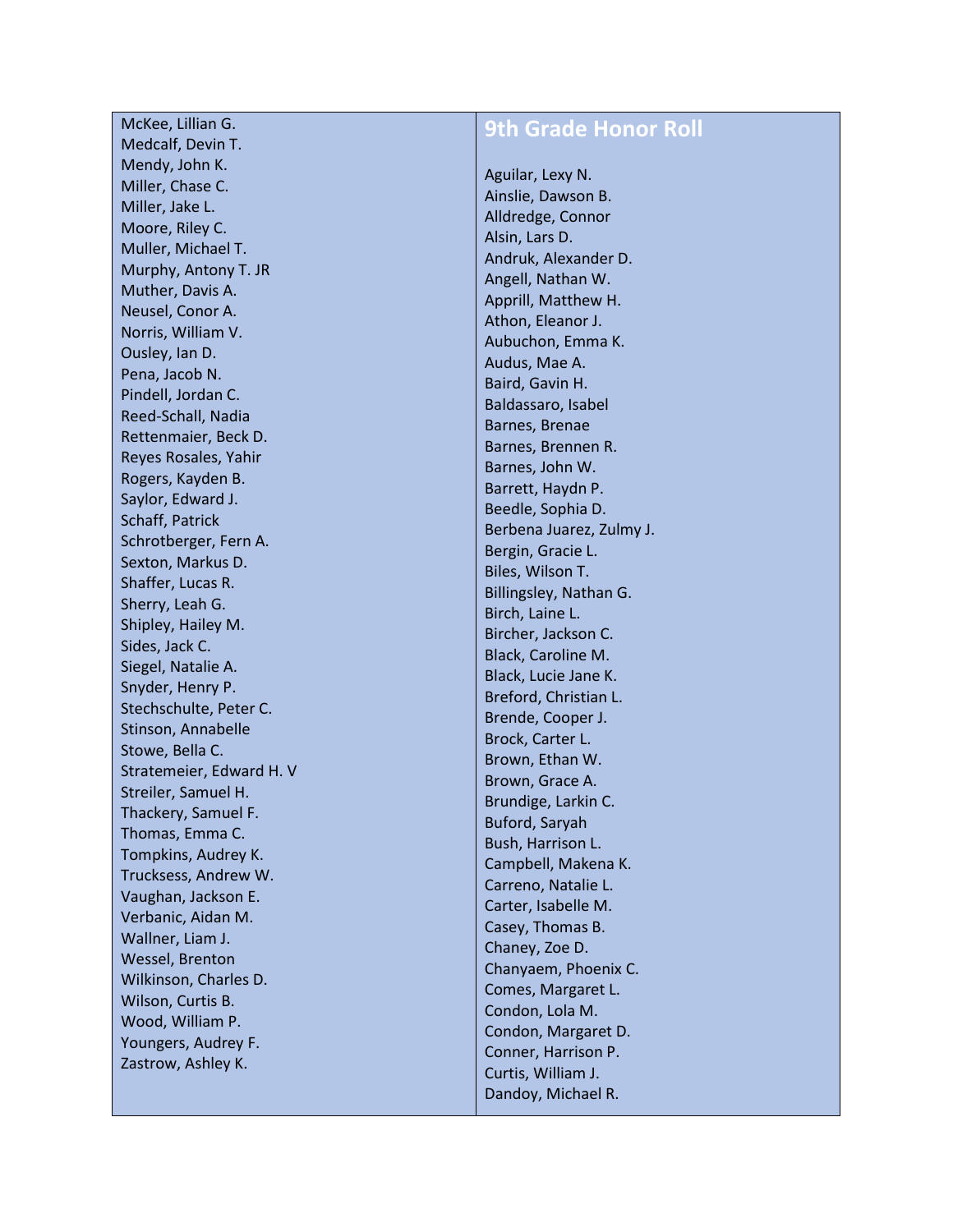McKee, Lillian G. Medcalf, Devin T. Mendy, John K. Miller, Chase C. Miller, Jake L. Moore, Riley C. Muller, Michael T. Murphy, Antony T. JR Muther, Davis A. Neusel, Conor A. Norris, William V. Ousley, Ian D. Pena, Jacob N. Pindell, Jordan C. Reed -Schall, Nadia Rettenmaier, Beck D. Reyes Rosales, Yahir Rogers, Kayden B. Saylor, Edward J. Schaff, Patrick Schrotberger, Fern A. Sexton, Markus D. Shaffer, Lucas R. Sherry, Leah G. Shipley, Hailey M. Sides, Jack C. Siegel, Natalie A. Snyder, Henry P. Stechschulte, Peter C. Stinson, Annabelle Stowe, Bella C. Stratemeier, Edward H. V Streiler, Samuel H. Thackery, Samuel F. Thomas, Emma C. Tompkins, Audrey K. Trucksess, Andrew W. Vaughan, Jackson E. Verbanic, Aidan M. Wallner, Liam J. Wessel, Brenton Wilkinson, Charles D. Wilson, Curtis B. Wood, William P. Youngers, Audrey F. Zastrow, Ashley K.

## **9th Grade Honor Roll**

Aguilar, Lexy N. Ainslie, Dawson B. Alldredge, Connor Alsin, Lars D. Andruk, Alexander D. Angell, Nathan W. Apprill, Matthew H. Athon, Eleanor J. Aubuchon, Emma K. Audus, Mae A. Baird, Gavin H. Baldassaro, Isabel Barnes, Brenae Barnes, Brennen R. Barnes, John W. Barrett, Haydn P. Beedle, Sophia D. Berbena Juarez, Zulmy J. Bergin, Gracie L. Biles, Wilson T. Billingsley, Nathan G. Birch, Laine L. Bircher, Jackson C. Black, Caroline M. Black, Lucie Jane K. Breford, Christian L. Brende, Cooper J. Brock, Carter L. Brown, Ethan W. Brown, Grace A. Brundige, Larkin C. Buford, Saryah Bush, Harrison L. Campbell, Makena K. Carreno, Natalie L. Carter, Isabelle M. Casey, Thomas B. Chaney, Zoe D. Chanyaem, Phoenix C. Comes, Margaret L. Condon, Lola M. Condon, Margaret D. Conner, Harrison P. Curtis, William J. Dandoy, Michael R.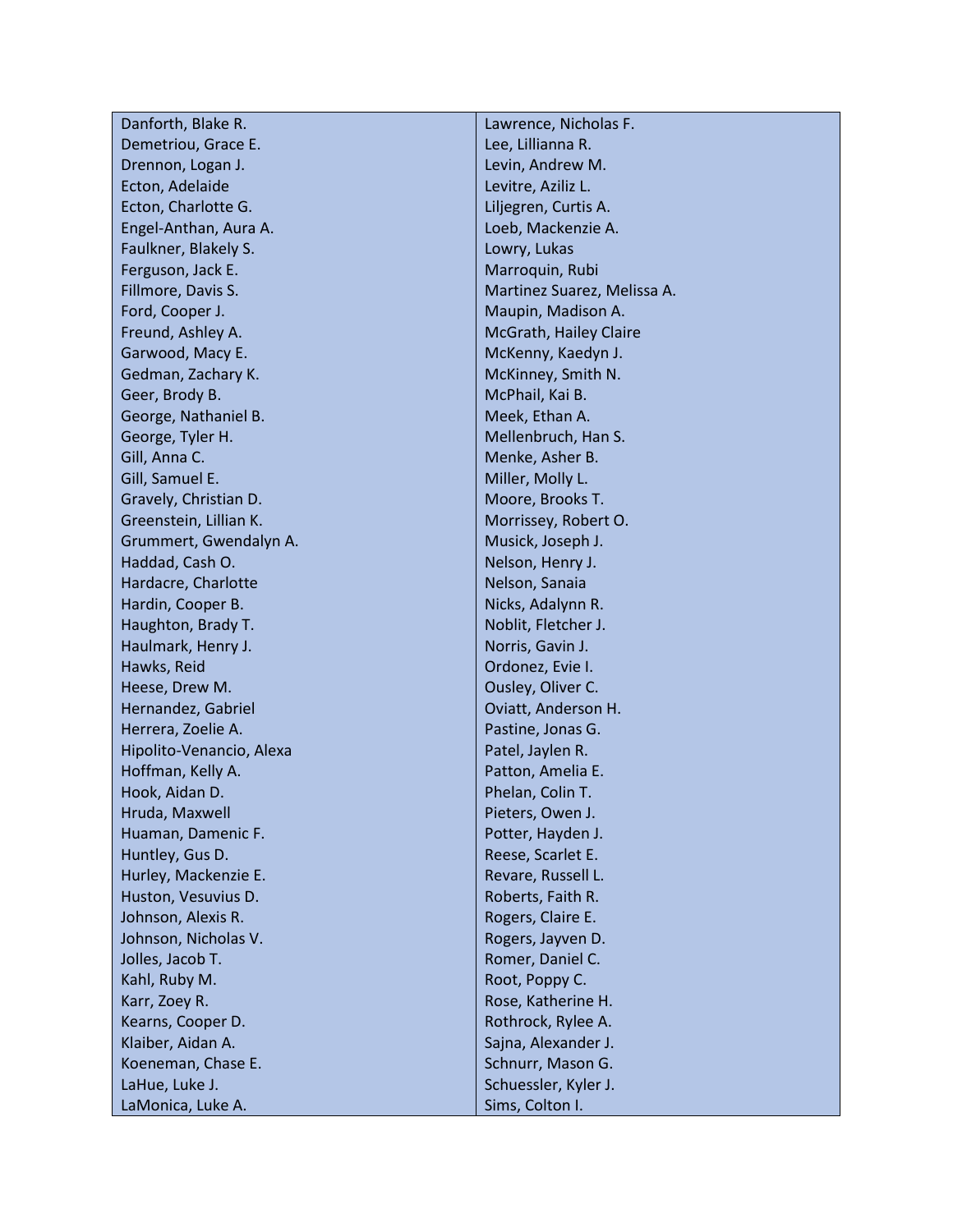| Danforth, Blake R.       | Lawrence, Nicholas F.       |
|--------------------------|-----------------------------|
| Demetriou, Grace E.      | Lee, Lillianna R.           |
| Drennon, Logan J.        | Levin, Andrew M.            |
| Ecton, Adelaide          | Levitre, Aziliz L.          |
| Ecton, Charlotte G.      | Liljegren, Curtis A.        |
| Engel-Anthan, Aura A.    | Loeb, Mackenzie A.          |
| Faulkner, Blakely S.     | Lowry, Lukas                |
| Ferguson, Jack E.        | Marroquin, Rubi             |
| Fillmore, Davis S.       | Martinez Suarez, Melissa A. |
| Ford, Cooper J.          | Maupin, Madison A.          |
| Freund, Ashley A.        | McGrath, Hailey Claire      |
| Garwood, Macy E.         | McKenny, Kaedyn J.          |
| Gedman, Zachary K.       | McKinney, Smith N.          |
| Geer, Brody B.           | McPhail, Kai B.             |
| George, Nathaniel B.     | Meek, Ethan A.              |
| George, Tyler H.         | Mellenbruch, Han S.         |
| Gill, Anna C.            | Menke, Asher B.             |
| Gill, Samuel E.          | Miller, Molly L.            |
| Gravely, Christian D.    | Moore, Brooks T.            |
| Greenstein, Lillian K.   | Morrissey, Robert O.        |
| Grummert, Gwendalyn A.   | Musick, Joseph J.           |
| Haddad, Cash O.          | Nelson, Henry J.            |
| Hardacre, Charlotte      | Nelson, Sanaia              |
| Hardin, Cooper B.        | Nicks, Adalynn R.           |
| Haughton, Brady T.       | Noblit, Fletcher J.         |
| Haulmark, Henry J.       | Norris, Gavin J.            |
| Hawks, Reid              | Ordonez, Evie I.            |
| Heese, Drew M.           | Ousley, Oliver C.           |
| Hernandez, Gabriel       | Oviatt, Anderson H.         |
| Herrera, Zoelie A.       | Pastine, Jonas G.           |
| Hipolito-Venancio, Alexa | Patel, Jaylen R.            |
| Hoffman, Kelly A.        | Patton, Amelia E.           |
| Hook, Aidan D.           | Phelan, Colin T.            |
| Hruda, Maxwell           | Pieters, Owen J.            |
| Huaman, Damenic F.       | Potter, Hayden J.           |
| Huntley, Gus D.          | Reese, Scarlet E.           |
| Hurley, Mackenzie E.     | Revare, Russell L.          |
| Huston, Vesuvius D.      | Roberts, Faith R.           |
| Johnson, Alexis R.       | Rogers, Claire E.           |
| Johnson, Nicholas V.     | Rogers, Jayven D.           |
| Jolles, Jacob T.         | Romer, Daniel C.            |
| Kahl, Ruby M.            | Root, Poppy C.              |
| Karr, Zoey R.            | Rose, Katherine H.          |
| Kearns, Cooper D.        | Rothrock, Rylee A.          |
| Klaiber, Aidan A.        | Sajna, Alexander J.         |
| Koeneman, Chase E.       | Schnurr, Mason G.           |
| LaHue, Luke J.           | Schuessler, Kyler J.        |
| LaMonica, Luke A.        | Sims, Colton I.             |